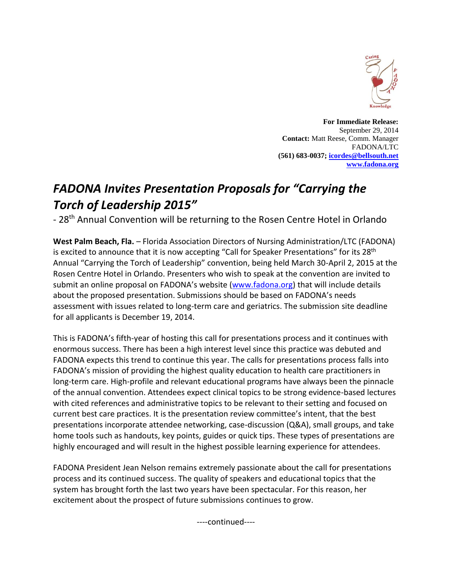

**For Immediate Release:** September 29, 2014 **Contact:** Matt Reese, Comm. Manager FADONA/LTC **(561) 683-0037[; icordes@bellsouth.net](mailto:icordes@bellsouth.net) [www.fadona.org](http://www.fadona.org/)**

## *FADONA Invites Presentation Proposals for "Carrying the Torch of Leadership 2015"*

- 28<sup>th</sup> Annual Convention will be returning to the Rosen Centre Hotel in Orlando

**West Palm Beach, Fla.** – Florida Association Directors of Nursing Administration/LTC (FADONA) is excited to announce that it is now accepting "Call for Speaker Presentations" for its 28<sup>th</sup> Annual "Carrying the Torch of Leadership" convention, being held March 30-April 2, 2015 at the Rosen Centre Hotel in Orlando. Presenters who wish to speak at the convention are invited to submit an online proposal on FADONA's website ([www.fadona.org\)](http://www.fadona.org/) that will include details about the proposed presentation. Submissions should be based on FADONA's needs assessment with issues related to long-term care and geriatrics. The submission site deadline for all applicants is December 19, 2014.

This is FADONA's fifth-year of hosting this call for presentations process and it continues with enormous success. There has been a high interest level since this practice was debuted and FADONA expects this trend to continue this year. The calls for presentations process falls into FADONA's mission of providing the highest quality education to health care practitioners in long-term care. High-profile and relevant educational programs have always been the pinnacle of the annual convention. Attendees expect clinical topics to be strong evidence-based lectures with cited references and administrative topics to be relevant to their setting and focused on current best care practices. It is the presentation review committee's intent, that the best presentations incorporate attendee networking, case-discussion (Q&A), small groups, and take home tools such as handouts, key points, guides or quick tips. These types of presentations are highly encouraged and will result in the highest possible learning experience for attendees.

FADONA President Jean Nelson remains extremely passionate about the call for presentations process and its continued success. The quality of speakers and educational topics that the system has brought forth the last two years have been spectacular. For this reason, her excitement about the prospect of future submissions continues to grow.

----continued----